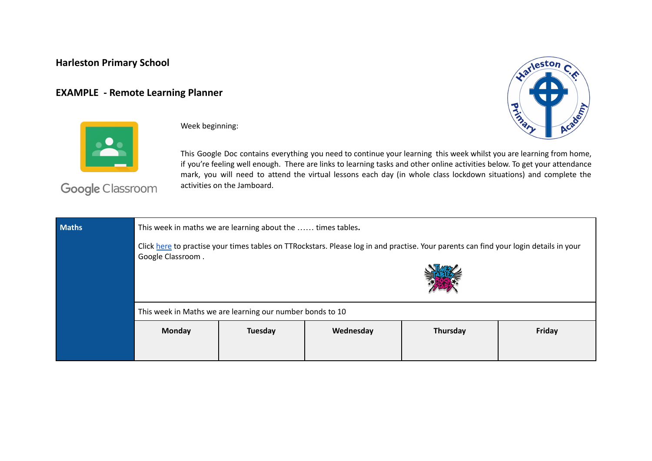## **Harleston Primary School**

## **EXAMPLE - Remote Learning Planner**





Week beginning:

This Google Doc contains everything you need to continue your learning this week whilst you are learning from home, if you're feeling well enough. There are links to learning tasks and other online activities below. To get your attendance mark, you will need to attend the virtual lessons each day (in whole class lockdown situations) and complete the activities on the Jamboard.

Google Classroom

| <b>Maths</b> | This week in maths we are learning about the  times tables.                                                                                                |         |           |          |        |
|--------------|------------------------------------------------------------------------------------------------------------------------------------------------------------|---------|-----------|----------|--------|
|              | Click here to practise your times tables on TTRockstars. Please log in and practise. Your parents can find your login details in your<br>Google Classroom. |         |           |          |        |
|              |                                                                                                                                                            |         |           |          |        |
|              | This week in Maths we are learning our number bonds to 10                                                                                                  |         |           |          |        |
|              | Monday                                                                                                                                                     | Tuesday | Wednesday | Thursday | Friday |
|              |                                                                                                                                                            |         |           |          |        |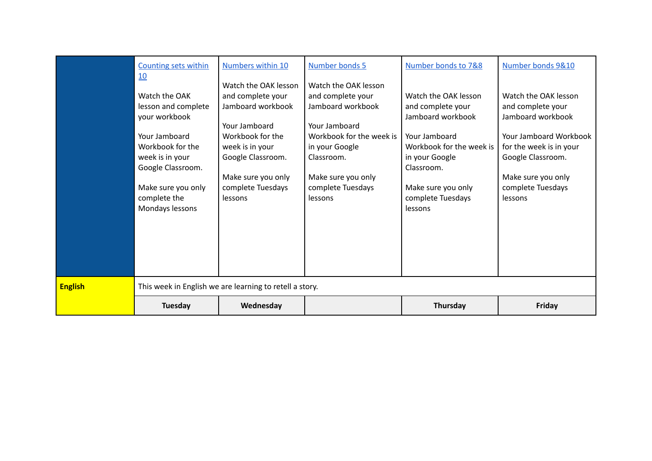|                | <b>Counting sets within</b><br>10<br>Watch the OAK<br>lesson and complete<br>your workbook<br>Your Jamboard<br>Workbook for the<br>week is in your<br>Google Classroom.<br>Make sure you only<br>complete the<br>Mondays lessons | <b>Numbers within 10</b><br>Watch the OAK lesson<br>and complete your<br>Jamboard workbook<br>Your Jamboard<br>Workbook for the<br>week is in your<br>Google Classroom.<br>Make sure you only<br>complete Tuesdays<br>lessons | Number bonds 5<br>Watch the OAK lesson<br>and complete your<br>Jamboard workbook<br>Your Jamboard<br>Workbook for the week is<br>in your Google<br>Classroom.<br>Make sure you only<br>complete Tuesdays<br>lessons | Number bonds to 7&8<br>Watch the OAK lesson<br>and complete your<br>Jamboard workbook<br>Your Jamboard<br>Workbook for the week is<br>in your Google<br>Classroom.<br>Make sure you only<br>complete Tuesdays<br>lessons | Number bonds 9&10<br>Watch the OAK lesson<br>and complete your<br>Jamboard workbook<br>Your Jamboard Workbook<br>for the week is in your<br>Google Classroom.<br>Make sure you only<br>complete Tuesdays<br>lessons |
|----------------|----------------------------------------------------------------------------------------------------------------------------------------------------------------------------------------------------------------------------------|-------------------------------------------------------------------------------------------------------------------------------------------------------------------------------------------------------------------------------|---------------------------------------------------------------------------------------------------------------------------------------------------------------------------------------------------------------------|--------------------------------------------------------------------------------------------------------------------------------------------------------------------------------------------------------------------------|---------------------------------------------------------------------------------------------------------------------------------------------------------------------------------------------------------------------|
| <b>English</b> | <b>Tuesday</b>                                                                                                                                                                                                                   | This week in English we are learning to retell a story.<br>Wednesday                                                                                                                                                          |                                                                                                                                                                                                                     | Thursday                                                                                                                                                                                                                 | Friday                                                                                                                                                                                                              |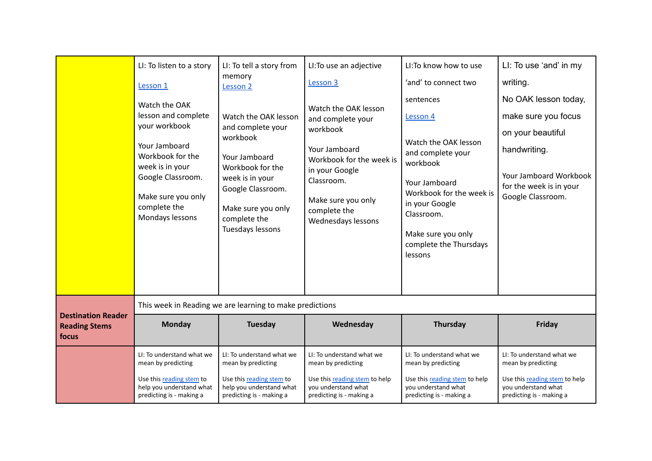|                                                            | LI: To listen to a story<br>Lesson 1<br>Watch the OAK<br>lesson and complete<br>your workbook<br>Your Jamboard<br>Workbook for the<br>week is in your<br>Google Classroom.<br>Make sure you only<br>complete the<br>Mondays lessons | LI: To tell a story from<br>memory<br>Lesson <sub>2</sub><br>Watch the OAK lesson<br>and complete your<br>workbook<br>Your Jamboard<br>Workbook for the<br>week is in your<br>Google Classroom.<br>Make sure you only<br>complete the<br>Tuesdays lessons | LI: To use an adjective<br>Lesson 3<br>Watch the OAK lesson<br>and complete your<br>workbook<br>Your Jamboard<br>Workbook for the week is<br>in your Google<br>Classroom.<br>Make sure you only<br>complete the<br>Wednesdays lessons | LI: To know how to use<br>'and' to connect two<br>sentences<br>Lesson 4<br>Watch the OAK lesson<br>and complete your<br>workbook<br>Your Jamboard<br>Workbook for the week is<br>in your Google<br>Classroom.<br>Make sure you only<br>complete the Thursdays<br>lessons | LI: To use 'and' in my<br>writing.<br>No OAK lesson today,<br>make sure you focus<br>on your beautiful<br>handwriting.<br><b>Your Jamboard Workbook</b><br>for the week is in your<br>Google Classroom. |
|------------------------------------------------------------|-------------------------------------------------------------------------------------------------------------------------------------------------------------------------------------------------------------------------------------|-----------------------------------------------------------------------------------------------------------------------------------------------------------------------------------------------------------------------------------------------------------|---------------------------------------------------------------------------------------------------------------------------------------------------------------------------------------------------------------------------------------|--------------------------------------------------------------------------------------------------------------------------------------------------------------------------------------------------------------------------------------------------------------------------|---------------------------------------------------------------------------------------------------------------------------------------------------------------------------------------------------------|
|                                                            |                                                                                                                                                                                                                                     | This week in Reading we are learning to make predictions                                                                                                                                                                                                  |                                                                                                                                                                                                                                       |                                                                                                                                                                                                                                                                          |                                                                                                                                                                                                         |
| <b>Destination Reader</b><br><b>Reading Stems</b><br>focus | <b>Monday</b>                                                                                                                                                                                                                       | Tuesday                                                                                                                                                                                                                                                   | Wednesday                                                                                                                                                                                                                             | Thursday                                                                                                                                                                                                                                                                 | Friday                                                                                                                                                                                                  |
|                                                            | LI: To understand what we<br>mean by predicting<br>Use this reading stem to<br>help you understand what<br>predicting is - making a                                                                                                 | LI: To understand what we<br>mean by predicting<br>Use this reading stem to<br>help you understand what<br>predicting is - making a                                                                                                                       | LI: To understand what we<br>mean by predicting<br>Use this reading stem to help<br>vou understand what<br>predicting is - making a                                                                                                   | LI: To understand what we<br>mean by predicting<br>Use this reading stem to help<br>you understand what<br>predicting is - making a                                                                                                                                      | LI: To understand what we<br>mean by predicting<br>Use this reading stem to help<br>you understand what<br>predicting is - making a                                                                     |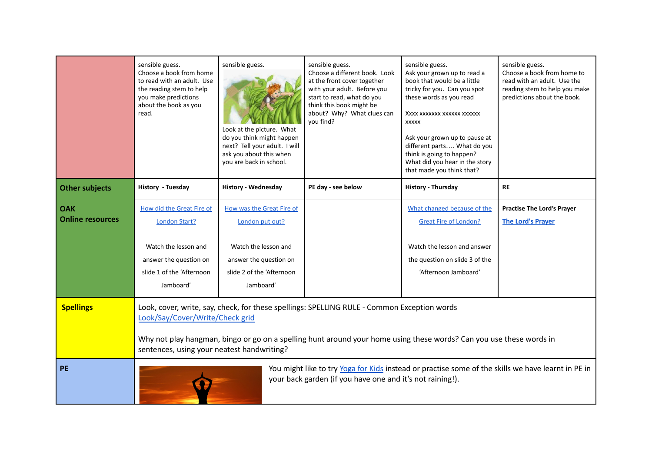|                                       | sensible guess.<br>Choose a book from home<br>to read with an adult. Use<br>the reading stem to help<br>you make predictions<br>about the book as you<br>read.                                                                                                                                      | sensible guess.<br>Look at the picture. What<br>do you think might happen<br>next? Tell your adult. I will<br>ask you about this when<br>you are back in school. | sensible guess.<br>Choose a different book. Look<br>at the front cover together<br>with your adult. Before you<br>start to read, what do you<br>think this book might be<br>about? Why? What clues can<br>you find? | sensible guess.<br>Ask your grown up to read a<br>book that would be a little<br>tricky for you. Can you spot<br>these words as you read<br>XXXX XXXXXXX XXXXXX XXXXXX<br><b>XXXXX</b><br>Ask your grown up to pause at<br>different parts What do you<br>think is going to happen?<br>What did you hear in the story<br>that made you think that? | sensible guess.<br>Choose a book from home to<br>read with an adult. Use the<br>reading stem to help you make<br>predictions about the book. |
|---------------------------------------|-----------------------------------------------------------------------------------------------------------------------------------------------------------------------------------------------------------------------------------------------------------------------------------------------------|------------------------------------------------------------------------------------------------------------------------------------------------------------------|---------------------------------------------------------------------------------------------------------------------------------------------------------------------------------------------------------------------|----------------------------------------------------------------------------------------------------------------------------------------------------------------------------------------------------------------------------------------------------------------------------------------------------------------------------------------------------|----------------------------------------------------------------------------------------------------------------------------------------------|
| <b>Other subjects</b>                 | History - Tuesday                                                                                                                                                                                                                                                                                   | <b>History - Wednesday</b>                                                                                                                                       | PE day - see below                                                                                                                                                                                                  | History - Thursday                                                                                                                                                                                                                                                                                                                                 | <b>RE</b>                                                                                                                                    |
| <b>OAK</b><br><b>Online resources</b> | <b>How did the Great Fire of</b><br><b>London Start?</b><br>Watch the lesson and<br>answer the question on<br>slide 1 of the 'Afternoon<br>Jamboard'                                                                                                                                                | How was the Great Fire of<br>London put out?<br>Watch the lesson and<br>answer the question on<br>slide 2 of the 'Afternoon<br>Jamboard'                         |                                                                                                                                                                                                                     | What changed because of the<br>Great Fire of London?<br>Watch the lesson and answer<br>the question on slide 3 of the<br>'Afternoon Jamboard'                                                                                                                                                                                                      | <b>Practise The Lord's Prayer</b><br><b>The Lord's Praver</b>                                                                                |
| <b>Spellings</b>                      | Look, cover, write, say, check, for these spellings: SPELLING RULE - Common Exception words<br>Look/Say/Cover/Write/Check grid<br>Why not play hangman, bingo or go on a spelling hunt around your home using these words? Can you use these words in<br>sentences, using your neatest handwriting? |                                                                                                                                                                  |                                                                                                                                                                                                                     |                                                                                                                                                                                                                                                                                                                                                    |                                                                                                                                              |
| <b>PE</b>                             | You might like to try Yoga for Kids instead or practise some of the skills we have learnt in PE in<br>your back garden (if you have one and it's not raining!).                                                                                                                                     |                                                                                                                                                                  |                                                                                                                                                                                                                     |                                                                                                                                                                                                                                                                                                                                                    |                                                                                                                                              |